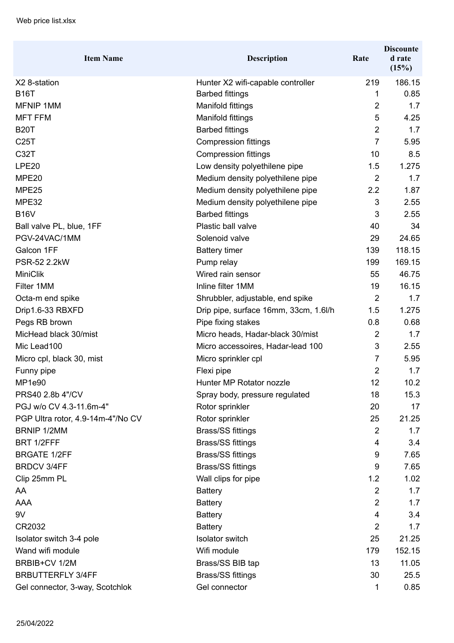| <b>Item Name</b>                  | <b>Description</b>                    | Rate           | <b>Discounte</b><br>d rate<br>(15%) |
|-----------------------------------|---------------------------------------|----------------|-------------------------------------|
| X2 8-station                      | Hunter X2 wifi-capable controller     | 219            | 186.15                              |
| <b>B16T</b>                       | <b>Barbed fittings</b>                | 1              | 0.85                                |
| <b>MFNIP 1MM</b>                  | Manifold fittings                     | $\overline{2}$ | 1.7                                 |
| <b>MFT FFM</b>                    | Manifold fittings                     | 5              | 4.25                                |
| <b>B20T</b>                       | <b>Barbed fittings</b>                | $\overline{2}$ | 1.7                                 |
| C25T                              | <b>Compression fittings</b>           | $\overline{7}$ | 5.95                                |
| C32T                              | <b>Compression fittings</b>           | 10             | 8.5                                 |
| LPE20                             | Low density polyethilene pipe         | 1.5            | 1.275                               |
| MPE20                             | Medium density polyethilene pipe      | $\overline{2}$ | 1.7                                 |
| MPE25                             | Medium density polyethilene pipe      | 2.2            | 1.87                                |
| MPE32                             | Medium density polyethilene pipe      | 3              | 2.55                                |
| <b>B16V</b>                       | <b>Barbed fittings</b>                | 3              | 2.55                                |
| Ball valve PL, blue, 1FF          | Plastic ball valve                    | 40             | 34                                  |
| PGV-24VAC/1MM                     | Solenoid valve                        | 29             | 24.65                               |
| Galcon 1FF                        | <b>Battery timer</b>                  | 139            | 118.15                              |
| PSR-52 2.2kW                      | Pump relay                            | 199            | 169.15                              |
| <b>MiniClik</b>                   | Wired rain sensor                     | 55             | 46.75                               |
| Filter 1MM                        | Inline filter 1MM                     | 19             | 16.15                               |
| Octa-m end spike                  | Shrubbler, adjustable, end spike      | $\overline{2}$ | 1.7                                 |
| Drip1.6-33 RBXFD                  | Drip pipe, surface 16mm, 33cm, 1.6l/h | 1.5            | 1.275                               |
| Pegs RB brown                     | Pipe fixing stakes                    | 0.8            | 0.68                                |
| MicHead black 30/mist             | Micro heads, Hadar-black 30/mist      | 2              | 1.7                                 |
| Mic Lead100                       | Micro accessoires, Hadar-lead 100     | 3              | 2.55                                |
| Micro cpl, black 30, mist         | Micro sprinkler cpl                   | $\overline{7}$ | 5.95                                |
| Funny pipe                        | Flexi pipe                            | $\overline{2}$ | 1.7                                 |
| MP1e90                            | Hunter MP Rotator nozzle              | 12             | 10.2                                |
| PRS40 2.8b 4"/CV                  | Spray body, pressure regulated        | 18             | 15.3                                |
| PGJ w/o CV 4.3-11.6m-4"           | Rotor sprinkler                       | 20             | 17                                  |
| PGP Ultra rotor, 4.9-14m-4"/No CV | Rotor sprinkler                       | 25             | 21.25                               |
| <b>BRNIP 1/2MM</b>                | <b>Brass/SS fittings</b>              | $\overline{2}$ | 1.7                                 |
| BRT 1/2FFF                        | <b>Brass/SS fittings</b>              | 4              | 3.4                                 |
| <b>BRGATE 1/2FF</b>               | <b>Brass/SS fittings</b>              | 9              | 7.65                                |
| <b>BRDCV 3/4FF</b>                | <b>Brass/SS fittings</b>              | 9              | 7.65                                |
| Clip 25mm PL                      | Wall clips for pipe                   | 1.2            | 1.02                                |
| AA                                | <b>Battery</b>                        | $\overline{2}$ | 1.7                                 |
| <b>AAA</b>                        | <b>Battery</b>                        | $\overline{2}$ | 1.7                                 |
| 9V                                | <b>Battery</b>                        | 4              | 3.4                                 |
| CR2032                            | <b>Battery</b>                        | $\overline{2}$ | 1.7                                 |
| Isolator switch 3-4 pole          | <b>Isolator switch</b>                | 25             | 21.25                               |
| Wand wifi module                  | Wifi module                           | 179            | 152.15                              |
| BRBIB+CV 1/2M                     | Brass/SS BIB tap                      | 13             | 11.05                               |
| <b>BRBUTTERFLY 3/4FF</b>          | <b>Brass/SS fittings</b>              | 30             | 25.5                                |
| Gel connector, 3-way, Scotchlok   | Gel connector                         | 1              | 0.85                                |